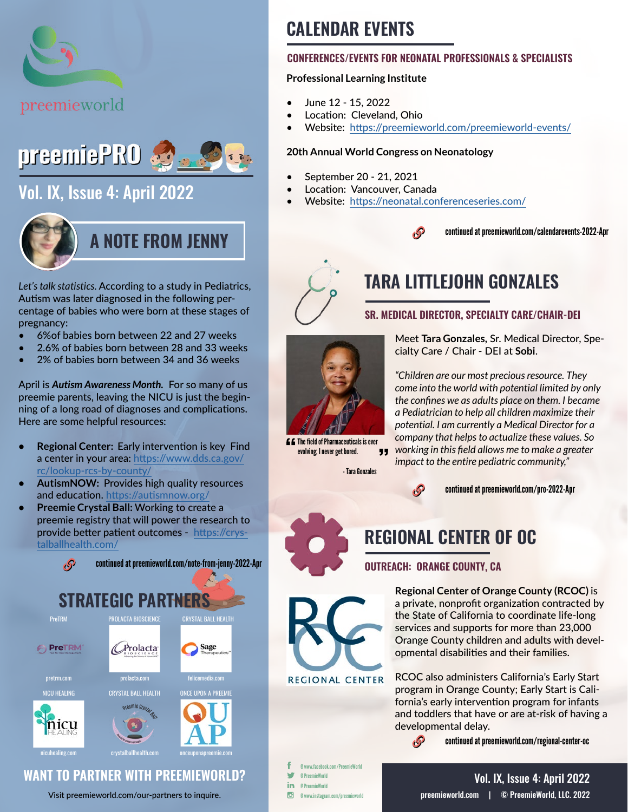



# [Vol. IX, Issue 4: April 2022](https://preemieworld.com/preemie-pro-digital-issues/)



*Let's talk statistics.* According to a study in Pediatrics, Autism was later diagnosed in the following percentage of babies who were born at these stages of pregnancy:

- 6%of babies born between 22 and 27 weeks
- 2.6% of babies born between 28 and 33 weeks
- 2% of babies born between 34 and 36 weeks

April is *Autism Awareness Month.* For so many of us preemie parents, leaving the NICU is just the beginning of a long road of diagnoses and complications. Here are some helpful resources:

- **• Regional Center:** Early intervention is key Find a center in your area: [https://www.dds.ca.gov/](https://www.dds.ca.gov/rc/lookup-rcs-by-county/ ) [rc/lookup-rcs-by-county/](https://www.dds.ca.gov/rc/lookup-rcs-by-county/ )
- **• AutismNOW:** Provides high quality resources and education.<https://autismnow.org/>
- **• Preemie Crystal Ball:** Working to create a preemie registry that will power the research to provide better patient outcomes - [https://crys](https://crystalballhealth.com/)[talballhealth.com/](https://crystalballhealth.com/)



## **WANT TO PARTNER WITH PREEMIEWORLD?**

Visit [preemieworld.com/our-partners](https://preemieworld.com/our-partners) to inquire.

# **CALENDAR EVENTS**

#### **CONFERENCES/EVENTS FOR NEONATAL PROFESSIONALS & SPECIALISTS**

#### **Professional Learning Institute**

- June 12 15, 2022
- Location: Cleveland, Ohio
- Website: <https://preemieworld.com/preemieworld-events/>

#### **20th Annual World Congress on Neonatology**

- September 20 21, 2021
- Location: Vancouver, Canada
- Website: https://neonatal.conferenceseries.com/





**C.** The field of Pharmaceuticals is ever<br>evolving: I never get bored. evolving; I never get bored.

- Tara Gonzales

# **TARA LITTLEJOHN GONZALES**

#### **SR. MEDICAL DIRECTOR, SPECIALTY CARE/CHAIR-DEI**

Meet **Tara Gonzales,** Sr. Medical Director, Specialty Care / Chair - DEI at **Sobi**.

*"Children are our most precious resource. They come into the world with potential limited by only the confines we as adults place on them. I became a Pediatrician to help all children maximize their potential. I am currently a Medical Director for a company that helps to actualize these values. So working in this field allows me to make a greater impact to the entire pediatric community,"* 



continued at [preemieworld.com/pro-2022-](https://preemieworld.com/pro-2022-Apr)Apr

# **REGIONAL CENTER OF OC**

### **OUTREACH: ORANGE COUNTY, CA**

<sub>t</sub>P

**Regional Center of Orange County (RCOC)** is a private, nonprofit organization contracted by the State of California to coordinate life-long services and supports for more than 23,000 Orange County children and adults with developmental disabilities and their families.

RCOC also administers California's Early Start program in Orange County; Early Start is California's early intervention program for infants and toddlers that have or are at-risk of having a developmental delay.

continued at [preemieworld.com/r](https://preemieworld.com/regional-center-oc)egional-center-oc

@ www.facebook.com/PreemieWorld @ PreemieWorld in. @ PreemieWorld  $\overline{G}$ @ www.instagram.com/preemieworld

**REGIONAL CENTER**